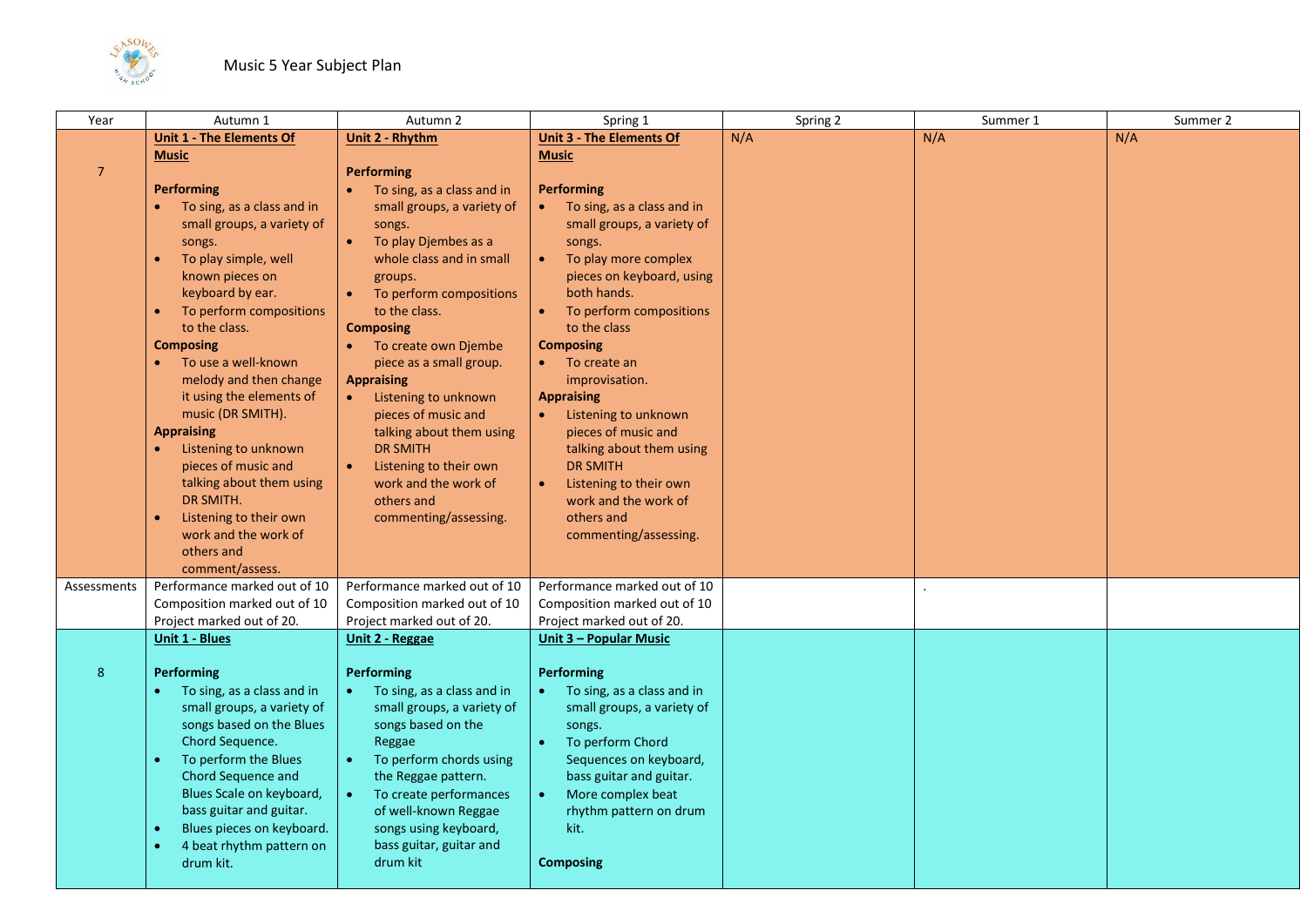

| Year           | Autumn 1                              | Autumn 2                                  | Spring 1                        | Spring 2 | Summer 1 | Summer 2 |
|----------------|---------------------------------------|-------------------------------------------|---------------------------------|----------|----------|----------|
|                | <b>Unit 1 - The Elements Of</b>       | Unit 2 - Rhythm                           | <b>Unit 3 - The Elements Of</b> | N/A      | N/A      | N/A      |
|                | <b>Music</b>                          |                                           | <b>Music</b>                    |          |          |          |
| $\overline{7}$ |                                       | <b>Performing</b>                         |                                 |          |          |          |
|                | <b>Performing</b>                     | • To sing, as a class and in              | <b>Performing</b>               |          |          |          |
|                | To sing, as a class and in            | small groups, a variety of                | To sing, as a class and in      |          |          |          |
|                | small groups, a variety of            | songs.                                    | small groups, a variety of      |          |          |          |
|                | songs.                                | To play Djembes as a<br>$\bullet$         | songs.                          |          |          |          |
|                | To play simple, well                  | whole class and in small                  | To play more complex            |          |          |          |
|                | known pieces on                       | groups.                                   | pieces on keyboard, using       |          |          |          |
|                | keyboard by ear.                      | To perform compositions<br>$\bullet$      | both hands.                     |          |          |          |
|                | To perform compositions               | to the class.                             | To perform compositions         |          |          |          |
|                | to the class.                         | <b>Composing</b>                          | to the class                    |          |          |          |
|                | <b>Composing</b>                      | • To create own Djembe                    | <b>Composing</b>                |          |          |          |
|                | To use a well-known                   | piece as a small group.                   | To create an                    |          |          |          |
|                | melody and then change                | <b>Appraising</b>                         | improvisation.                  |          |          |          |
|                | it using the elements of              | Listening to unknown<br>$\bullet$ .       | <b>Appraising</b>               |          |          |          |
|                | music (DR SMITH).                     | pieces of music and                       | Listening to unknown            |          |          |          |
|                | <b>Appraising</b>                     | talking about them using                  | pieces of music and             |          |          |          |
|                | Listening to unknown<br>$\bullet$     | <b>DR SMITH</b>                           | talking about them using        |          |          |          |
|                | pieces of music and                   | Listening to their own                    | <b>DR SMITH</b>                 |          |          |          |
|                | talking about them using              | work and the work of                      | Listening to their own          |          |          |          |
|                | DR SMITH.                             | others and                                | work and the work of            |          |          |          |
|                | Listening to their own                | commenting/assessing.                     | others and                      |          |          |          |
|                | work and the work of                  |                                           | commenting/assessing.           |          |          |          |
|                | others and                            |                                           |                                 |          |          |          |
|                | comment/assess.                       |                                           |                                 |          |          |          |
| Assessments    | Performance marked out of 10          | Performance marked out of 10              | Performance marked out of 10    |          |          |          |
|                | Composition marked out of 10          | Composition marked out of 10              | Composition marked out of 10    |          |          |          |
|                | Project marked out of 20.             | Project marked out of 20.                 | Project marked out of 20.       |          |          |          |
|                | <b>Unit 1 - Blues</b>                 | <b>Unit 2 - Reggae</b>                    | Unit 3 - Popular Music          |          |          |          |
|                |                                       |                                           |                                 |          |          |          |
| 8              | <b>Performing</b>                     | Performing                                | Performing                      |          |          |          |
|                | To sing, as a class and in            | To sing, as a class and in<br>$\bullet$ . | To sing, as a class and in      |          |          |          |
|                | small groups, a variety of            | small groups, a variety of                | small groups, a variety of      |          |          |          |
|                | songs based on the Blues              | songs based on the                        | songs.                          |          |          |          |
|                | Chord Sequence.                       | Reggae                                    | To perform Chord                |          |          |          |
|                | To perform the Blues<br>$\bullet$     | To perform chords using<br>$\bullet$      | Sequences on keyboard,          |          |          |          |
|                | Chord Sequence and                    | the Reggae pattern.                       | bass guitar and guitar.         |          |          |          |
|                | Blues Scale on keyboard,              | To create performances<br>$\bullet$       | More complex beat               |          |          |          |
|                | bass guitar and guitar.               | of well-known Reggae                      | rhythm pattern on drum          |          |          |          |
|                | Blues pieces on keyboard.             | songs using keyboard,                     | kit.                            |          |          |          |
|                | 4 beat rhythm pattern on<br>$\bullet$ | bass guitar, guitar and                   |                                 |          |          |          |
|                | drum kit.                             | drum kit                                  | <b>Composing</b>                |          |          |          |
|                |                                       |                                           |                                 |          |          |          |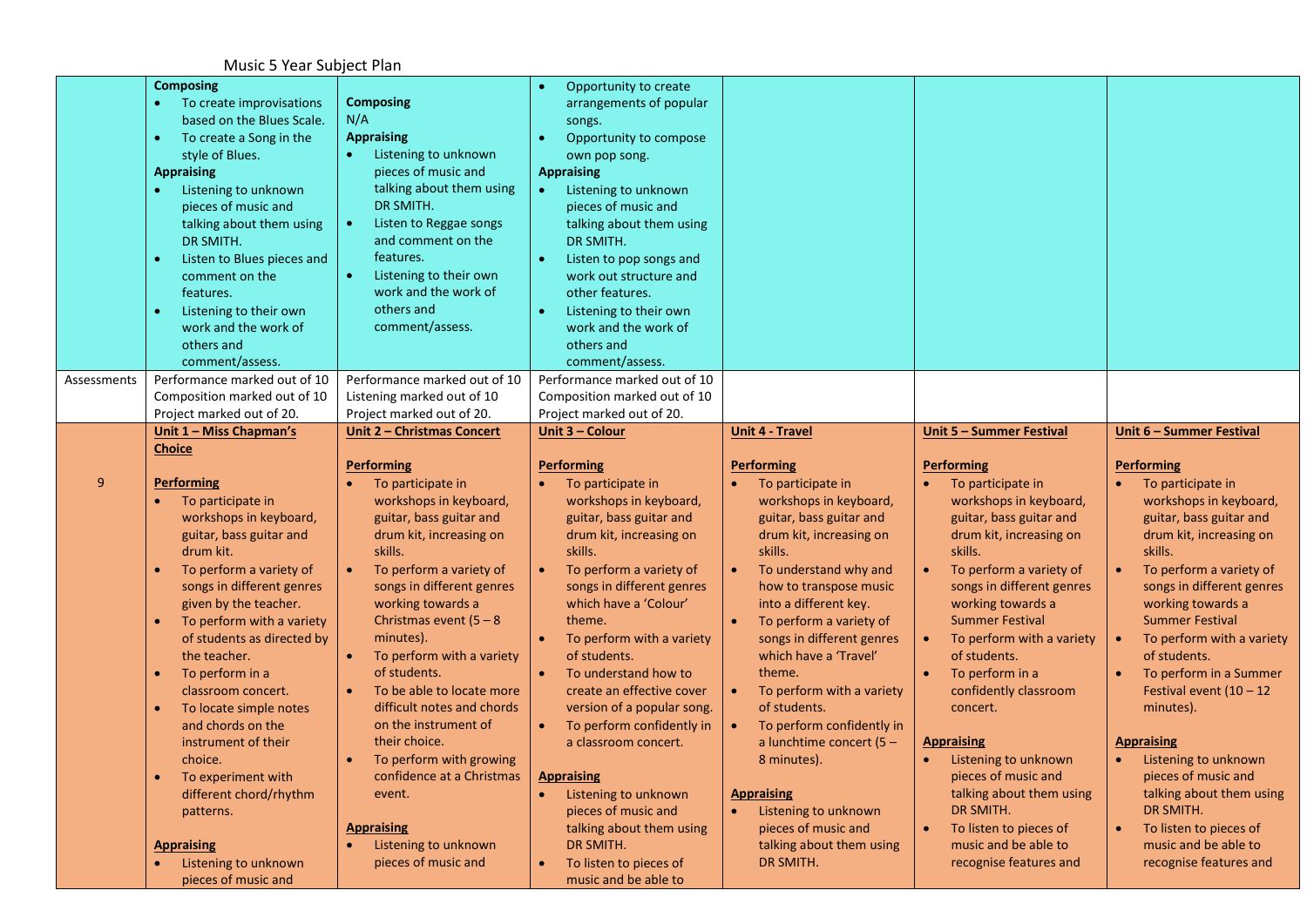Music 5 Year Subject Plan

|             | <b>Composing</b><br>To create improvisations<br>based on the Blues Scale.<br>To create a Song in the<br>style of Blues.<br><b>Appraising</b><br>Listening to unknown<br>$\bullet$<br>pieces of music and<br>talking about them using<br>DR SMITH.<br>Listen to Blues pieces and<br>comment on the<br>features.<br>Listening to their own<br>work and the work of<br>others and<br>comment/assess.                                                                                                                                                         | <b>Composing</b><br>N/A<br><b>Appraising</b><br>Listening to unknown<br>pieces of music and<br>talking about them using<br>DR SMITH.<br>Listen to Reggae songs<br>and comment on the<br>features.<br>Listening to their own<br>work and the work of<br>others and<br>comment/assess.                                                                                                                                                                                                                                                                         | Opportunity to create<br>$\bullet$<br>arrangements of popular<br>songs.<br>Opportunity to compose<br>own pop song.<br><b>Appraising</b><br>Listening to unknown<br>$\bullet$<br>pieces of music and<br>talking about them using<br>DR SMITH.<br>Listen to pop songs and<br>work out structure and<br>other features.<br>Listening to their own<br>$\bullet$<br>work and the work of<br>others and<br>comment/assess.                                                                                                                                                                                                    |                                                                                                                                                                                                                                                                                                                                                                                                                                                                                                                                                                      |                                                                                                                                                                                                                                                                                                                                                                                                                                                                                                                                                     |                                                                                                                                                                                                                                                                                                                                                                                                                                                                                                                                                                                                         |
|-------------|-----------------------------------------------------------------------------------------------------------------------------------------------------------------------------------------------------------------------------------------------------------------------------------------------------------------------------------------------------------------------------------------------------------------------------------------------------------------------------------------------------------------------------------------------------------|--------------------------------------------------------------------------------------------------------------------------------------------------------------------------------------------------------------------------------------------------------------------------------------------------------------------------------------------------------------------------------------------------------------------------------------------------------------------------------------------------------------------------------------------------------------|-------------------------------------------------------------------------------------------------------------------------------------------------------------------------------------------------------------------------------------------------------------------------------------------------------------------------------------------------------------------------------------------------------------------------------------------------------------------------------------------------------------------------------------------------------------------------------------------------------------------------|----------------------------------------------------------------------------------------------------------------------------------------------------------------------------------------------------------------------------------------------------------------------------------------------------------------------------------------------------------------------------------------------------------------------------------------------------------------------------------------------------------------------------------------------------------------------|-----------------------------------------------------------------------------------------------------------------------------------------------------------------------------------------------------------------------------------------------------------------------------------------------------------------------------------------------------------------------------------------------------------------------------------------------------------------------------------------------------------------------------------------------------|---------------------------------------------------------------------------------------------------------------------------------------------------------------------------------------------------------------------------------------------------------------------------------------------------------------------------------------------------------------------------------------------------------------------------------------------------------------------------------------------------------------------------------------------------------------------------------------------------------|
| Assessments | Performance marked out of 10                                                                                                                                                                                                                                                                                                                                                                                                                                                                                                                              | Performance marked out of 10                                                                                                                                                                                                                                                                                                                                                                                                                                                                                                                                 | Performance marked out of 10                                                                                                                                                                                                                                                                                                                                                                                                                                                                                                                                                                                            |                                                                                                                                                                                                                                                                                                                                                                                                                                                                                                                                                                      |                                                                                                                                                                                                                                                                                                                                                                                                                                                                                                                                                     |                                                                                                                                                                                                                                                                                                                                                                                                                                                                                                                                                                                                         |
|             | Composition marked out of 10<br>Project marked out of 20.                                                                                                                                                                                                                                                                                                                                                                                                                                                                                                 | Listening marked out of 10<br>Project marked out of 20.                                                                                                                                                                                                                                                                                                                                                                                                                                                                                                      | Composition marked out of 10<br>Project marked out of 20.                                                                                                                                                                                                                                                                                                                                                                                                                                                                                                                                                               |                                                                                                                                                                                                                                                                                                                                                                                                                                                                                                                                                                      |                                                                                                                                                                                                                                                                                                                                                                                                                                                                                                                                                     |                                                                                                                                                                                                                                                                                                                                                                                                                                                                                                                                                                                                         |
|             | <u> Unit 1 - Miss Chapman's</u>                                                                                                                                                                                                                                                                                                                                                                                                                                                                                                                           | <b>Unit 2 - Christmas Concert</b>                                                                                                                                                                                                                                                                                                                                                                                                                                                                                                                            | Unit 3 - Colour                                                                                                                                                                                                                                                                                                                                                                                                                                                                                                                                                                                                         | <b>Unit 4 - Travel</b>                                                                                                                                                                                                                                                                                                                                                                                                                                                                                                                                               | Unit 5 - Summer Festival                                                                                                                                                                                                                                                                                                                                                                                                                                                                                                                            | Unit 6 - Summer Festival                                                                                                                                                                                                                                                                                                                                                                                                                                                                                                                                                                                |
|             | <b>Choice</b>                                                                                                                                                                                                                                                                                                                                                                                                                                                                                                                                             |                                                                                                                                                                                                                                                                                                                                                                                                                                                                                                                                                              |                                                                                                                                                                                                                                                                                                                                                                                                                                                                                                                                                                                                                         |                                                                                                                                                                                                                                                                                                                                                                                                                                                                                                                                                                      |                                                                                                                                                                                                                                                                                                                                                                                                                                                                                                                                                     |                                                                                                                                                                                                                                                                                                                                                                                                                                                                                                                                                                                                         |
| 9           | <b>Performing</b><br>To participate in<br>workshops in keyboard,<br>guitar, bass guitar and<br>drum kit.<br>To perform a variety of<br>songs in different genres<br>given by the teacher.<br>To perform with a variety<br>of students as directed by<br>the teacher.<br>To perform in a<br>$\bullet$<br>classroom concert.<br>To locate simple notes<br>and chords on the<br>instrument of their<br>choice.<br>To experiment with<br>different chord/rhythm<br>patterns.<br><b>Appraising</b><br>Listening to unknown<br>$\bullet$<br>pieces of music and | <b>Performing</b><br>To participate in<br>workshops in keyboard,<br>guitar, bass guitar and<br>drum kit, increasing on<br>skills.<br>To perform a variety of<br>$\bullet$<br>songs in different genres<br>working towards a<br>Christmas event $(5 - 8)$<br>minutes).<br>To perform with a variety<br>of students.<br>To be able to locate more<br>difficult notes and chords<br>on the instrument of<br>their choice.<br>To perform with growing<br>confidence at a Christmas<br>event.<br><b>Appraising</b><br>Listening to unknown<br>pieces of music and | <b>Performing</b><br>To participate in<br>workshops in keyboard,<br>guitar, bass guitar and<br>drum kit, increasing on<br>skills.<br>$\bullet$<br>To perform a variety of<br>songs in different genres<br>which have a 'Colour'<br>theme.<br>To perform with a variety<br>of students.<br>To understand how to<br>$\bullet$<br>create an effective cover<br>version of a popular song.<br>To perform confidently in<br>a classroom concert.<br><b>Appraising</b><br>Listening to unknown<br>$\bullet$<br>pieces of music and<br>talking about them using<br>DR SMITH.<br>To listen to pieces of<br>music and be able to | <b>Performing</b><br>To participate in<br>workshops in keyboard,<br>guitar, bass guitar and<br>drum kit, increasing on<br>skills.<br>To understand why and<br>$\bullet$<br>how to transpose music<br>into a different key.<br>To perform a variety of<br>songs in different genres<br>which have a 'Travel'<br>theme.<br>To perform with a variety<br>$\bullet$<br>of students.<br>To perform confidently in<br>a lunchtime concert (5 -<br>8 minutes).<br><b>Appraising</b><br>Listening to unknown<br>pieces of music and<br>talking about them using<br>DR SMITH. | <b>Performing</b><br>To participate in<br>workshops in keyboard,<br>guitar, bass guitar and<br>drum kit, increasing on<br>skills.<br>To perform a variety of<br>$\bullet$<br>songs in different genres<br>working towards a<br><b>Summer Festival</b><br>To perform with a variety<br>of students.<br>To perform in a<br>confidently classroom<br>concert.<br><b>Appraising</b><br>Listening to unknown<br>pieces of music and<br>talking about them using<br>DR SMITH.<br>To listen to pieces of<br>music and be able to<br>recognise features and | <b>Performing</b><br>To participate in<br>workshops in keyboard,<br>guitar, bass guitar and<br>drum kit, increasing on<br>skills.<br>To perform a variety of<br>$\bullet$<br>songs in different genres<br>working towards a<br><b>Summer Festival</b><br>To perform with a variety<br>$\bullet$<br>of students.<br>To perform in a Summer<br>$\bullet$<br>Festival event $(10 - 12)$<br>minutes).<br><b>Appraising</b><br>Listening to unknown<br>pieces of music and<br>talking about them using<br>DR SMITH.<br>To listen to pieces of<br>$\bullet$<br>music and be able to<br>recognise features and |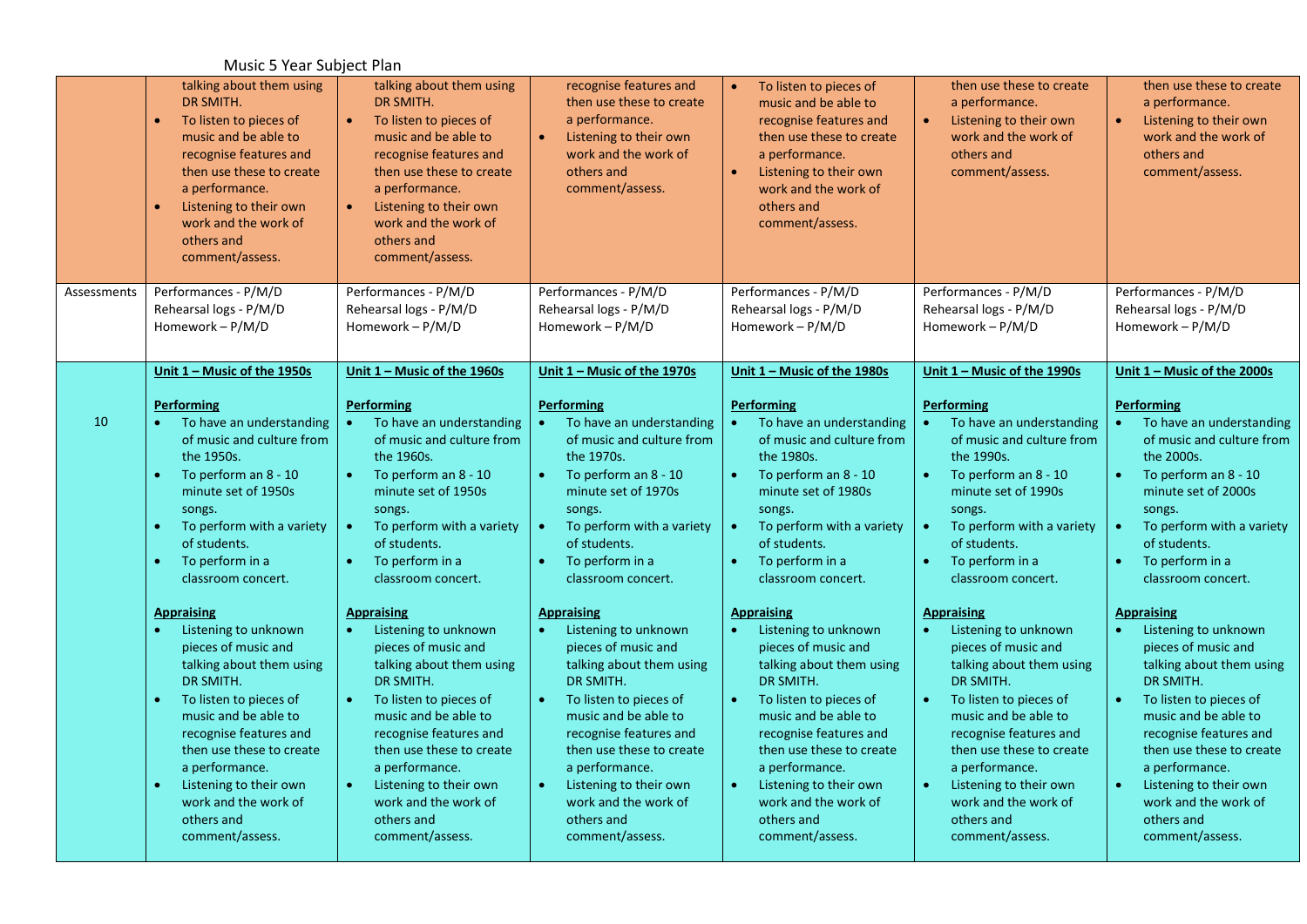## Music 5 Year Subject Plan

|             | talking about them using<br>DR SMITH.<br>To listen to pieces of<br>music and be able to<br>recognise features and<br>then use these to create<br>a performance.<br>Listening to their own<br>work and the work of<br>others and<br>comment/assess.<br>Performances - P/M/D                                                                       | talking about them using<br>DR SMITH.<br>$\bullet$<br>To listen to pieces of<br>music and be able to<br>recognise features and<br>then use these to create<br>a performance.<br>Listening to their own<br>work and the work of<br>others and<br>comment/assess.<br>Performances - P/M/D                                                                       | recognise features and<br>then use these to create<br>a performance.<br>Listening to their own<br>work and the work of<br>others and<br>comment/assess.<br>Performances - P/M/D                                                                                                                                        | To listen to pieces of<br>music and be able to<br>recognise features and<br>then use these to create<br>a performance.<br>$\bullet$<br>Listening to their own<br>work and the work of<br>others and<br>comment/assess.<br>Performances - P/M/D                                                                                                                | then use these to create<br>a performance.<br>Listening to their own<br>work and the work of<br>others and<br>comment/assess.<br>Performances - P/M/D                                                                                                                                                                  | then use these to create<br>a performance.<br>$\bullet$<br>Listening to their own<br>work and the work of<br>others and<br>comment/assess.<br>Performances - P/M/D                                                                                                                                                                                            |
|-------------|--------------------------------------------------------------------------------------------------------------------------------------------------------------------------------------------------------------------------------------------------------------------------------------------------------------------------------------------------|---------------------------------------------------------------------------------------------------------------------------------------------------------------------------------------------------------------------------------------------------------------------------------------------------------------------------------------------------------------|------------------------------------------------------------------------------------------------------------------------------------------------------------------------------------------------------------------------------------------------------------------------------------------------------------------------|---------------------------------------------------------------------------------------------------------------------------------------------------------------------------------------------------------------------------------------------------------------------------------------------------------------------------------------------------------------|------------------------------------------------------------------------------------------------------------------------------------------------------------------------------------------------------------------------------------------------------------------------------------------------------------------------|---------------------------------------------------------------------------------------------------------------------------------------------------------------------------------------------------------------------------------------------------------------------------------------------------------------------------------------------------------------|
| Assessments | Rehearsal logs - P/M/D<br>Homework - P/M/D                                                                                                                                                                                                                                                                                                       | Rehearsal logs - P/M/D<br>Homework $- P/M/D$                                                                                                                                                                                                                                                                                                                  | Rehearsal logs - P/M/D<br>Homework - P/M/D                                                                                                                                                                                                                                                                             | Rehearsal logs - P/M/D<br>Homework $-P/M/D$                                                                                                                                                                                                                                                                                                                   | Rehearsal logs - P/M/D<br>Homework - P/M/D                                                                                                                                                                                                                                                                             | Rehearsal logs - P/M/D<br>Homework - P/M/D                                                                                                                                                                                                                                                                                                                    |
|             | Unit $1 -$ Music of the 1950s                                                                                                                                                                                                                                                                                                                    | Unit $1 -$ Music of the 1960s                                                                                                                                                                                                                                                                                                                                 | Unit 1 - Music of the 1970s                                                                                                                                                                                                                                                                                            | Unit $1 -$ Music of the 1980s                                                                                                                                                                                                                                                                                                                                 | Unit 1 - Music of the 1990s                                                                                                                                                                                                                                                                                            | Unit $1 -$ Music of the 2000s                                                                                                                                                                                                                                                                                                                                 |
| 10          | <b>Performing</b><br>To have an understanding<br>$\bullet$<br>of music and culture from<br>the 1950s.<br>To perform an 8 - 10<br>$\bullet$<br>minute set of 1950s<br>songs.<br>To perform with a variety<br>$\bullet$<br>of students.<br>To perform in a<br>$\bullet$<br>classroom concert.                                                      | <b>Performing</b><br>To have an understanding<br>$\bullet$<br>of music and culture from<br>the 1960s.<br>To perform an 8 - 10<br>$\bullet$<br>minute set of 1950s<br>songs.<br>To perform with a variety<br>$\bullet$ .<br>of students.<br>To perform in a<br>$\bullet$<br>classroom concert.                                                                 | <b>Performing</b><br>To have an understanding<br>of music and culture from<br>the 1970s.<br>To perform an 8 - 10<br>$\bullet$<br>minute set of 1970s<br>songs.<br>$\bullet$<br>To perform with a variety<br>of students.<br>To perform in a<br>$\bullet$<br>classroom concert.                                         | <b>Performing</b><br>To have an understanding<br>$\bullet$ .<br>of music and culture from<br>the 1980s.<br>To perform an 8 - 10<br>$\bullet$<br>minute set of 1980s<br>songs.<br>To perform with a variety<br>$\bullet$ .<br>of students.<br>To perform in a<br>$\bullet$<br>classroom concert.                                                               | Performing<br>To have an understanding<br>of music and culture from<br>the 1990s.<br>To perform an 8 - 10<br>$\bullet$<br>minute set of 1990s<br>songs.<br>To perform with a variety<br>$\bullet$<br>of students.<br>To perform in a<br>$\bullet$<br>classroom concert.                                                | Performing<br>To have an understanding<br>$\bullet$<br>of music and culture from<br>the 2000s.<br>$\bullet$<br>To perform an 8 - 10<br>minute set of 2000s<br>songs.<br>$\bullet$<br>To perform with a variety<br>of students.<br>To perform in a<br>$\bullet$<br>classroom concert.                                                                          |
|             | <b>Appraising</b><br>Listening to unknown<br>pieces of music and<br>talking about them using<br>DR SMITH.<br>To listen to pieces of<br>$\bullet$<br>music and be able to<br>recognise features and<br>then use these to create<br>a performance.<br>Listening to their own<br>$\bullet$<br>work and the work of<br>others and<br>comment/assess. | <b>Appraising</b><br>Listening to unknown<br>$\bullet$<br>pieces of music and<br>talking about them using<br>DR SMITH.<br>$\bullet$<br>To listen to pieces of<br>music and be able to<br>recognise features and<br>then use these to create<br>a performance.<br>$\bullet$<br>Listening to their own<br>work and the work of<br>others and<br>comment/assess. | <b>Appraising</b><br>Listening to unknown<br>pieces of music and<br>talking about them using<br>DR SMITH.<br>To listen to pieces of<br>music and be able to<br>recognise features and<br>then use these to create<br>a performance.<br>Listening to their own<br>work and the work of<br>others and<br>comment/assess. | <b>Appraising</b><br>Listening to unknown<br>$\bullet$<br>pieces of music and<br>talking about them using<br>DR SMITH.<br>$\bullet$<br>To listen to pieces of<br>music and be able to<br>recognise features and<br>then use these to create<br>a performance.<br>Listening to their own<br>$\bullet$<br>work and the work of<br>others and<br>comment/assess. | <b>Appraising</b><br>Listening to unknown<br>pieces of music and<br>talking about them using<br>DR SMITH.<br>To listen to pieces of<br>music and be able to<br>recognise features and<br>then use these to create<br>a performance.<br>Listening to their own<br>work and the work of<br>others and<br>comment/assess. | <b>Appraising</b><br>Listening to unknown<br>$\bullet$<br>pieces of music and<br>talking about them using<br>DR SMITH.<br>$\bullet$<br>To listen to pieces of<br>music and be able to<br>recognise features and<br>then use these to create<br>a performance.<br>Listening to their own<br>$\bullet$<br>work and the work of<br>others and<br>comment/assess. |